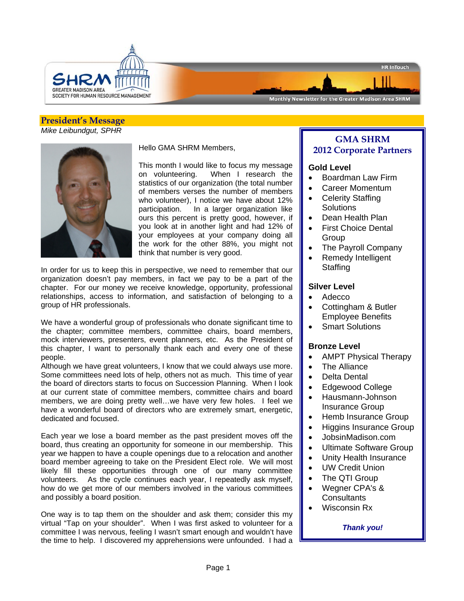

# Monthly Newsletter for the Greater Madison Area SHRM

#### **President's Message**  *Mike Leibundgut, SPHR*



Hello GMA SHRM Members,

This month I would like to focus my message on volunteering. When I research the statistics of our organization (the total number of members verses the number of members who volunteer), I notice we have about 12% participation. In a larger organization like ours this percent is pretty good, however, if you look at in another light and had 12% of your employees at your company doing all the work for the other 88%, you might not think that number is very good.

In order for us to keep this in perspective, we need to remember that our organization doesn't pay members, in fact we pay to be a part of the chapter. For our money we receive knowledge, opportunity, professional relationships, access to information, and satisfaction of belonging to a group of HR professionals.

We have a wonderful group of professionals who donate significant time to the chapter; committee members, committee chairs, board members, mock interviewers, presenters, event planners, etc. As the President of this chapter, I want to personally thank each and every one of these people.

Although we have great volunteers, I know that we could always use more. Some committees need lots of help, others not as much. This time of year the board of directors starts to focus on Succession Planning. When I look at our current state of committee members, committee chairs and board members, we are doing pretty well…we have very few holes. I feel we have a wonderful board of directors who are extremely smart, energetic, dedicated and focused.

Each year we lose a board member as the past president moves off the board, thus creating an opportunity for someone in our membership. This year we happen to have a couple openings due to a relocation and another board member agreeing to take on the President Elect role. We will most likely fill these opportunities through one of our many committee volunteers. As the cycle continues each year, I repeatedly ask myself, how do we get more of our members involved in the various committees and possibly a board position.

One way is to tap them on the shoulder and ask them; consider this my virtual "Tap on your shoulder". When I was first asked to volunteer for a committee I was nervous, feeling I wasn't smart enough and wouldn't have the time to help. I discovered my apprehensions were unfounded. I had a

## **GMA SHRM 2012 Corporate Partners**

HR InTouch

### **Gold Level**

- Boardman Law Firm
- Career Momentum
- Celerity Staffing **Solutions**
- Dean Health Plan
- First Choice Dental **Group**
- The Payroll Company
- Remedy Intelligent **Staffing**

### **Silver Level**

- Adecco
- Cottingham & Butler Employee Benefits
- Smart Solutions

### **Bronze Level**

- AMPT Physical Therapy
- The Alliance
- Delta Dental
- Edgewood College
- Hausmann-Johnson Insurance Group
- Hemb Insurance Group
- Higgins Insurance Group
- JobsinMadison.com
- Ultimate Software Group
- Unity Health Insurance
- UW Credit Union
- The QTI Group
- Wegner CPA's & **Consultants**
- Wisconsin Rx

### *Thank you!*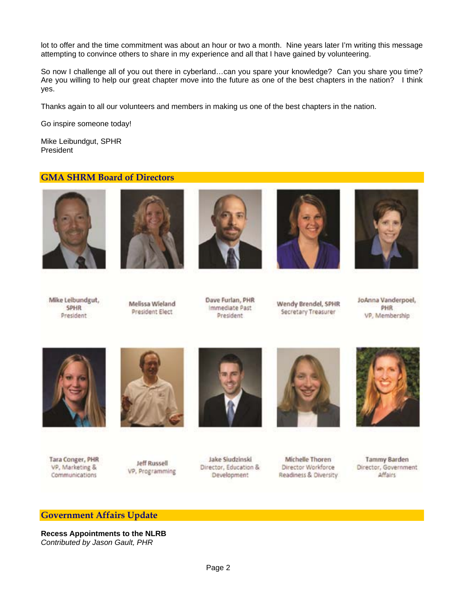lot to offer and the time commitment was about an hour or two a month. Nine years later I'm writing this message attempting to convince others to share in my experience and all that I have gained by volunteering.

So now I challenge all of you out there in cyberland…can you spare your knowledge? Can you share you time? Are you willing to help our great chapter move into the future as one of the best chapters in the nation? I think yes.

Thanks again to all our volunteers and members in making us one of the best chapters in the nation.

Go inspire someone today!

Mike Leibundgut, SPHR President

## **GMA SHRM Board of Directors**











Mike Leibundgut, **SPHR** President



Dave Furlan, PHR Immediate Past President

Wendy Brendel, SPHR Secretary Treasurer

JoAnna Vanderpoel, PHR VP, Membership



Tara Conger, PHR VP, Marketing & Communications



Jeff Russell VP, Programming





Jake Siudzinski Director, Education & Development

Michelle Thoren Director Workforce Readiness & Diversity

**Tammy Barden** Director, Government **Affairs** 

#### **Government Affairs Update**

**Recess Appointments to the NLRB**  *Contributed by Jason Gault, PHR*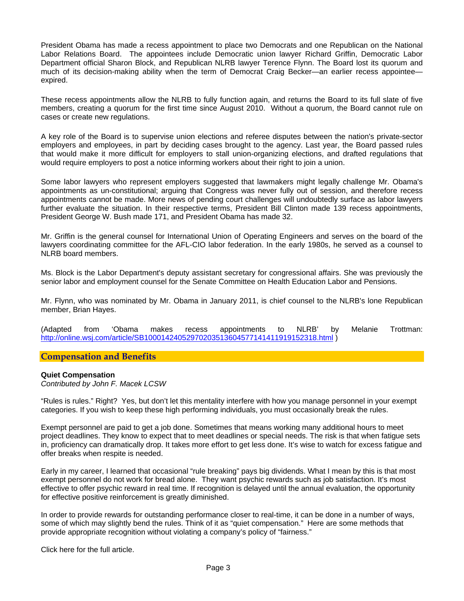President Obama has made a recess appointment to place two Democrats and one Republican on the National Labor Relations Board. The appointees include Democratic union lawyer Richard Griffin, Democratic Labor Department official Sharon Block, and Republican NLRB lawyer Terence Flynn. The Board lost its quorum and much of its decision-making ability when the term of Democrat Craig Becker—an earlier recess appointee expired.

These recess appointments allow the NLRB to fully function again, and returns the Board to its full slate of five members, creating a quorum for the first time since August 2010. Without a quorum, the Board cannot rule on cases or create new regulations.

A key role of the Board is to supervise union elections and referee disputes between the nation's private-sector employers and employees, in part by deciding cases brought to the agency. Last year, the Board passed rules that would make it more difficult for employers to stall union-organizing elections, and drafted regulations that would require employers to post a notice informing workers about their right to join a union.

Some labor lawyers who represent employers suggested that lawmakers might legally challenge Mr. Obama's appointments as un-constitutional; arguing that Congress was never fully out of session, and therefore recess appointments cannot be made. More news of pending court challenges will undoubtedly surface as labor lawyers further evaluate the situation. In their respective terms, President Bill Clinton made 139 recess appointments, President George W. Bush made 171, and President Obama has made 32.

Mr. Griffin is the general counsel for International Union of Operating Engineers and serves on the board of the lawyers coordinating committee for the AFL-CIO labor federation. In the early 1980s, he served as a counsel to NLRB board members.

Ms. Block is the Labor Department's deputy assistant secretary for congressional affairs. She was previously the senior labor and employment counsel for the Senate Committee on Health Education Labor and Pensions.

Mr. Flynn, who was nominated by Mr. Obama in January 2011, is chief counsel to the NLRB's lone Republican member, Brian Hayes.

(Adapted from 'Obama makes recess appointments to NLRB' by Melanie Trottman: http://online.wsj.com/article/SB10001424052970203513604577141411919152318.html )

### **Compensation and Benefits**

#### **Quiet Compensation**

*Contributed by John F. Macek LCSW* 

"Rules is rules." Right? Yes, but don't let this mentality interfere with how you manage personnel in your exempt categories. If you wish to keep these high performing individuals, you must occasionally break the rules.

Exempt personnel are paid to get a job done. Sometimes that means working many additional hours to meet project deadlines. They know to expect that to meet deadlines or special needs. The risk is that when fatigue sets in, proficiency can dramatically drop. It takes more effort to get less done. It's wise to watch for excess fatigue and offer breaks when respite is needed.

Early in my career, I learned that occasional "rule breaking" pays big dividends. What I mean by this is that most exempt personnel do not work for bread alone. They want psychic rewards such as job satisfaction. It's most effective to offer psychic reward in real time. If recognition is delayed until the annual evaluation, the opportunity for effective positive reinforcement is greatly diminished.

In order to provide rewards for outstanding performance closer to real-time, it can be done in a number of ways, some of which may slightly bend the rules. Think of it as "quiet compensation." Here are some methods that provide appropriate recognition without violating a company's policy of "fairness."

Click here for the full article.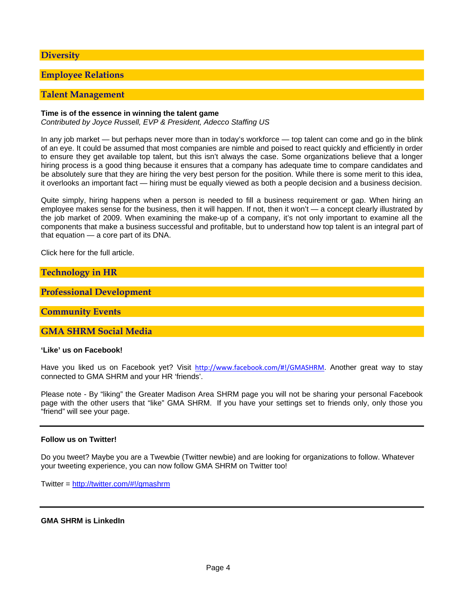### **Diversity**

## **Employee Relations**

#### **Talent Management**

#### **Time is of the essence in winning the talent game**

*Contributed by Joyce Russell, EVP & President, Adecco Staffing US* 

In any job market — but perhaps never more than in today's workforce — top talent can come and go in the blink of an eye. It could be assumed that most companies are nimble and poised to react quickly and efficiently in order to ensure they get available top talent, but this isn't always the case. Some organizations believe that a longer hiring process is a good thing because it ensures that a company has adequate time to compare candidates and be absolutely sure that they are hiring the very best person for the position. While there is some merit to this idea, it overlooks an important fact — hiring must be equally viewed as both a people decision and a business decision.

Quite simply, hiring happens when a person is needed to fill a business requirement or gap. When hiring an employee makes sense for the business, then it will happen. If not, then it won't — a concept clearly illustrated by the job market of 2009. When examining the make-up of a company, it's not only important to examine all the components that make a business successful and profitable, but to understand how top talent is an integral part of that equation — a core part of its DNA.

Click here for the full article.

**Technology in HR** 

**Professional Development**

**Community Events** 

**GMA SHRM Social Media** 

**'Like' us on Facebook!** 

Have you liked us on Facebook yet? Visit http://www.facebook.com/#!/GMASHRM. Another great way to stay connected to GMA SHRM and your HR 'friends'.

Please note - By "liking" the Greater Madison Area SHRM page you will not be sharing your personal Facebook page with the other users that "like" GMA SHRM. If you have your settings set to friends only, only those you "friend" will see your page.

#### **Follow us on Twitter!**

Do you tweet? Maybe you are a Twewbie (Twitter newbie) and are looking for organizations to follow. Whatever your tweeting experience, you can now follow GMA SHRM on Twitter too!

Twitter = http://twitter.com/#!/gmashrm

#### **GMA SHRM is LinkedIn**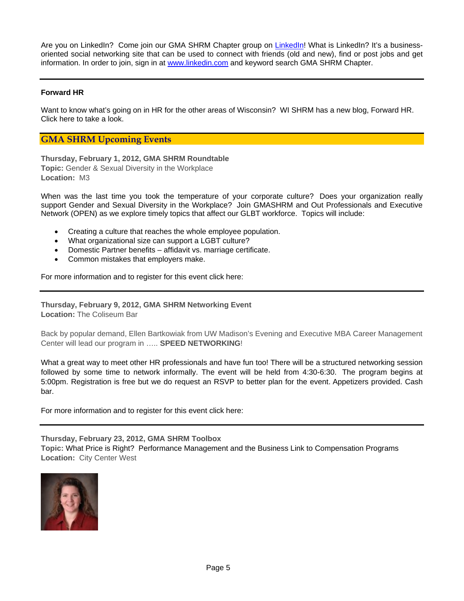Are you on LinkedIn? Come join our GMA SHRM Chapter group on LinkedIn! What is LinkedIn? It's a businessoriented social networking site that can be used to connect with friends (old and new), find or post jobs and get information. In order to join, sign in at www.linkedin.com and keyword search GMA SHRM Chapter.

## **Forward HR**

Want to know what's going on in HR for the other areas of Wisconsin? WI SHRM has a new blog, Forward HR. Click here to take a look.

### **GMA SHRM Upcoming Events**

**Thursday, February 1, 2012, GMA SHRM Roundtable Topic:** Gender & Sexual Diversity in the Workplace **Location:** M3

When was the last time you took the temperature of your corporate culture? Does your organization really support Gender and Sexual Diversity in the Workplace? Join GMASHRM and Out Professionals and Executive Network (OPEN) as we explore timely topics that affect our GLBT workforce. Topics will include:

- Creating a culture that reaches the whole employee population.
- What organizational size can support a LGBT culture?
- Domestic Partner benefits affidavit vs. marriage certificate.
- Common mistakes that employers make.

For more information and to register for this event click here:

**Thursday, February 9, 2012, GMA SHRM Networking Event Location:** The Coliseum Bar

Back by popular demand, Ellen Bartkowiak from UW Madison's Evening and Executive MBA Career Management Center will lead our program in ….. **SPEED NETWORKING**!

What a great way to meet other HR professionals and have fun too! There will be a structured networking session followed by some time to network informally. The event will be held from 4:30-6:30. The program begins at 5:00pm. Registration is free but we do request an RSVP to better plan for the event. Appetizers provided. Cash bar.

For more information and to register for this event click here:

**Thursday, February 23, 2012, GMA SHRM Toolbox** 

**Topic:** What Price is Right? Performance Management and the Business Link to Compensation Programs **Location:** City Center West

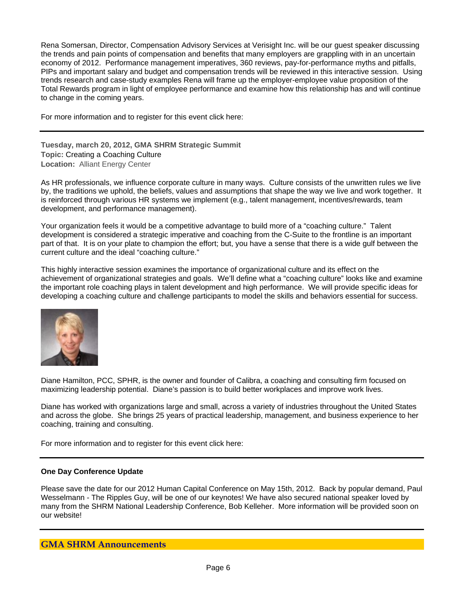Rena Somersan, Director, Compensation Advisory Services at Verisight Inc. will be our guest speaker discussing the trends and pain points of compensation and benefits that many employers are grappling with in an uncertain economy of 2012. Performance management imperatives, 360 reviews, pay-for-performance myths and pitfalls, PIPs and important salary and budget and compensation trends will be reviewed in this interactive session. Using trends research and case-study examples Rena will frame up the employer-employee value proposition of the Total Rewards program in light of employee performance and examine how this relationship has and will continue to change in the coming years.

For more information and to register for this event click here:

**Tuesday, march 20, 2012, GMA SHRM Strategic Summit Topic:** Creating a Coaching Culture **Location:** Alliant Energy Center

As HR professionals, we influence corporate culture in many ways. Culture consists of the unwritten rules we live by, the traditions we uphold, the beliefs, values and assumptions that shape the way we live and work together. It is reinforced through various HR systems we implement (e.g., talent management, incentives/rewards, team development, and performance management).

Your organization feels it would be a competitive advantage to build more of a "coaching culture." Talent development is considered a strategic imperative and coaching from the C-Suite to the frontline is an important part of that. It is on your plate to champion the effort; but, you have a sense that there is a wide gulf between the current culture and the ideal "coaching culture."

This highly interactive session examines the importance of organizational culture and its effect on the achievement of organizational strategies and goals. We'll define what a "coaching culture" looks like and examine the important role coaching plays in talent development and high performance. We will provide specific ideas for developing a coaching culture and challenge participants to model the skills and behaviors essential for success.



Diane Hamilton, PCC, SPHR, is the owner and founder of Calibra, a coaching and consulting firm focused on maximizing leadership potential. Diane's passion is to build better workplaces and improve work lives.

Diane has worked with organizations large and small, across a variety of industries throughout the United States and across the globe. She brings 25 years of practical leadership, management, and business experience to her coaching, training and consulting.

For more information and to register for this event click here:

### **One Day Conference Update**

Please save the date for our 2012 Human Capital Conference on May 15th, 2012. Back by popular demand, Paul Wesselmann - The Ripples Guy, will be one of our keynotes! We have also secured national speaker loved by many from the SHRM National Leadership Conference, Bob Kelleher. More information will be provided soon on our website!

## **GMA SHRM Announcements**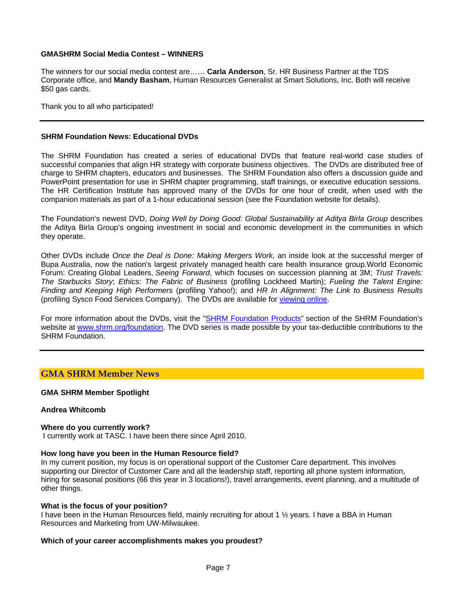#### **GMASHRM Social Media Contest – WINNERS**

The winners for our social media contest are…… **Carla Anderson**, Sr. HR Business Partner at the TDS Corporate office, and **Mandy Basham**, Human Resources Generalist at Smart Solutions, Inc. Both will receive \$50 gas cards.

Thank you to all who participated!

#### **SHRM Foundation News: Educational DVDs**

The SHRM Foundation has created a series of educational DVDs that feature real-world case studies of successful companies that align HR strategy with corporate business objectives. The DVDs are distributed free of charge to SHRM chapters, educators and businesses. The SHRM Foundation also offers a discussion guide and PowerPoint presentation for use in SHRM chapter programming, staff trainings, or executive education sessions. The HR Certification Institute has approved many of the DVDs for one hour of credit, when used with the companion materials as part of a 1-hour educational session (see the Foundation website for details).

The Foundation's newest DVD, *Doing Well by Doing Good: Global Sustainability at Aditya Birla Group* describes the Aditya Birla Group's ongoing investment in social and economic development in the communities in which they operate.

Other DVDs include *Once the Deal is Done: Making Mergers Work,* an inside look at the successful merger of Bupa Australia, now the nation's largest privately managed health care health insurance group.World Economic Forum: Creating Global Leaders, *Seeing Forward*, which focuses on succession planning at 3M; *Trust Travels: The Starbucks Story*; *Ethics: The Fabric of Business* (profiling Lockheed Martin); *Fueling the Talent Engine: Finding and Keeping High Performers* (profiling Yahoo!); and *HR In Alignment: The Link to Business Results*  (profiling Sysco Food Services Company). The DVDs are available for viewing online.

For more information about the DVDs, visit the "SHRM Foundation Products" section of the SHRM Foundation's website at www.shrm.org/foundation. The DVD series is made possible by your tax-deductible contributions to the SHRM Foundation.

## **GMA SHRM Member News**

#### **GMA SHRM Member Spotlight**

#### **Andrea Whitcomb**

#### **Where do you currently work?**

I currently work at TASC. I have been there since April 2010.

#### **How long have you been in the Human Resource field?**

In my current position, my focus is on operational support of the Customer Care department. This involves supporting our Director of Customer Care and all the leadership staff, reporting all phone system information, hiring for seasonal positions (66 this year in 3 locations!), travel arrangements, event planning, and a multitude of other things.

#### **What is the focus of your position?**

I have been in the Human Resources field, mainly recruiting for about 1 ½ years. I have a BBA in Human Resources and Marketing from UW-Milwaukee.

#### **Which of your career accomplishments makes you proudest?**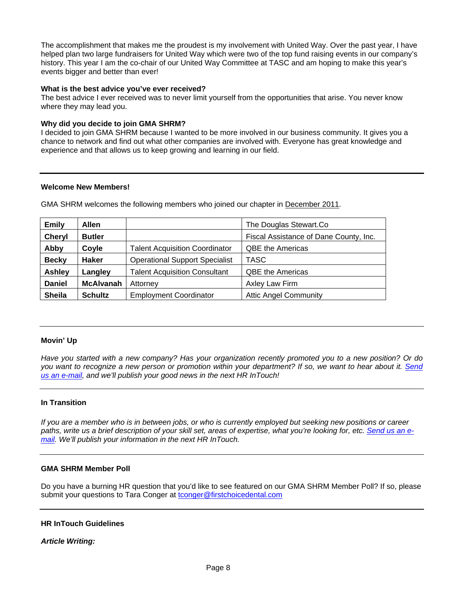The accomplishment that makes me the proudest is my involvement with United Way. Over the past year, I have helped plan two large fundraisers for United Way which were two of the top fund raising events in our company's history. This year I am the co-chair of our United Way Committee at TASC and am hoping to make this year's events bigger and better than ever!

#### **What is the best advice you've ever received?**

The best advice I ever received was to never limit yourself from the opportunities that arise. You never know where they may lead you.

### **Why did you decide to join GMA SHRM?**

I decided to join GMA SHRM because I wanted to be more involved in our business community. It gives you a chance to network and find out what other companies are involved with. Everyone has great knowledge and experience and that allows us to keep growing and learning in our field.

### **Welcome New Members!**

GMA SHRM welcomes the following members who joined our chapter in December 2011.

| <b>Emily</b>  | <b>Allen</b>     |                                       | The Douglas Stewart.Co                 |
|---------------|------------------|---------------------------------------|----------------------------------------|
| <b>Cheryl</b> | <b>Butler</b>    |                                       | Fiscal Assistance of Dane County, Inc. |
| Abby          | Coyle            | <b>Talent Acquisition Coordinator</b> | <b>QBE the Americas</b>                |
| <b>Becky</b>  | <b>Haker</b>     | <b>Operational Support Specialist</b> | <b>TASC</b>                            |
| <b>Ashley</b> | Langley          | <b>Talent Acquisition Consultant</b>  | <b>QBE the Americas</b>                |
| <b>Daniel</b> | <b>McAlvanah</b> | Attorney                              | Axley Law Firm                         |
| <b>Sheila</b> | <b>Schultz</b>   | <b>Employment Coordinator</b>         | <b>Attic Angel Community</b>           |

### **Movin' Up**

*Have you started with a new company? Has your organization recently promoted you to a new position? Or do you want to recognize a new person or promotion within your department? If so, we want to hear about it. Send us an e-mail, and we'll publish your good news in the next HR InTouch!* 

#### **In Transition**

*If you are a member who is in between jobs, or who is currently employed but seeking new positions or career paths, write us a brief description of your skill set, areas of expertise, what you're looking for, etc. Send us an email. We'll publish your information in the next HR InTouch.* 

### **GMA SHRM Member Poll**

Do you have a burning HR question that you'd like to see featured on our GMA SHRM Member Poll? If so, please submit your questions to Tara Conger at tconger@firstchoicedental.com

#### **HR InTouch Guidelines**

#### *Article Writing:*